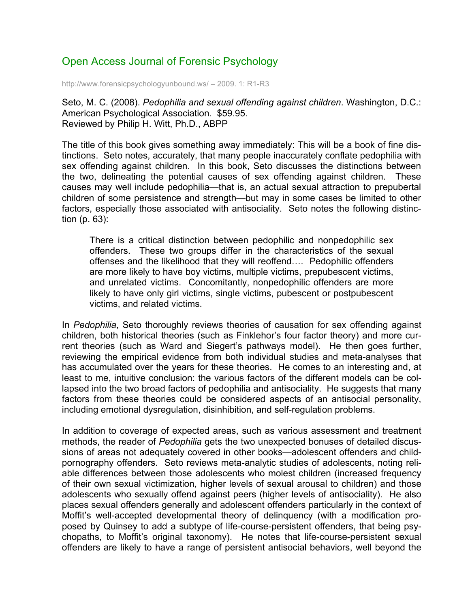## Open Access Journal of Forensic Psychology

http://www.forensicpsychologyunbound.ws/ – 2009. 1: R1-R3

Seto, M. C. (2008). *Pedophilia and sexual offending against children*. Washington, D.C.: American Psychological Association. \$59.95. Reviewed by Philip H. Witt, Ph.D., ABPP

The title of this book gives something away immediately: This will be a book of fine distinctions. Seto notes, accurately, that many people inaccurately conflate pedophilia with sex offending against children. In this book, Seto discusses the distinctions between the two, delineating the potential causes of sex offending against children. These causes may well include pedophilia—that is, an actual sexual attraction to prepubertal children of some persistence and strength—but may in some cases be limited to other factors, especially those associated with antisociality. Seto notes the following distinction (p. 63):

There is a critical distinction between pedophilic and nonpedophilic sex offenders. These two groups differ in the characteristics of the sexual offenses and the likelihood that they will reoffend…. Pedophilic offenders are more likely to have boy victims, multiple victims, prepubescent victims, and unrelated victims. Concomitantly, nonpedophilic offenders are more likely to have only girl victims, single victims, pubescent or postpubescent victims, and related victims.

In *Pedophilia*, Seto thoroughly reviews theories of causation for sex offending against children, both historical theories (such as Finklehor's four factor theory) and more current theories (such as Ward and Siegert's pathways model). He then goes further, reviewing the empirical evidence from both individual studies and meta-analyses that has accumulated over the years for these theories. He comes to an interesting and, at least to me, intuitive conclusion: the various factors of the different models can be collapsed into the two broad factors of pedophilia and antisociality. He suggests that many factors from these theories could be considered aspects of an antisocial personality, including emotional dysregulation, disinhibition, and self-regulation problems.

In addition to coverage of expected areas, such as various assessment and treatment methods, the reader of *Pedophilia* gets the two unexpected bonuses of detailed discussions of areas not adequately covered in other books—adolescent offenders and childpornography offenders. Seto reviews meta-analytic studies of adolescents, noting reliable differences between those adolescents who molest children (increased frequency of their own sexual victimization, higher levels of sexual arousal to children) and those adolescents who sexually offend against peers (higher levels of antisociality). He also places sexual offenders generally and adolescent offenders particularly in the context of Moffit's well-accepted developmental theory of delinquency (with a modification proposed by Quinsey to add a subtype of life-course-persistent offenders, that being psychopaths, to Moffit's original taxonomy). He notes that life-course-persistent sexual offenders are likely to have a range of persistent antisocial behaviors, well beyond the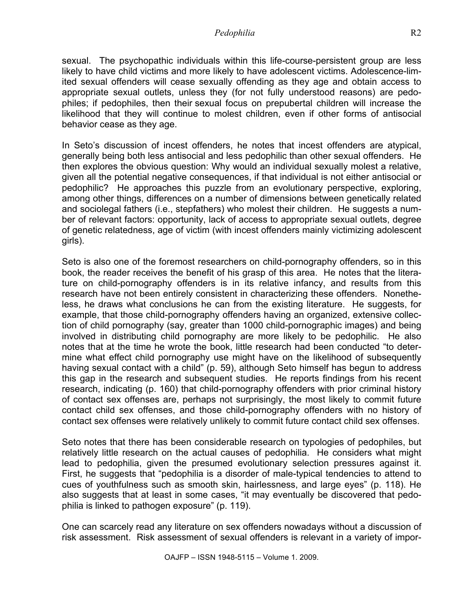sexual. The psychopathic individuals within this life-course-persistent group are less likely to have child victims and more likely to have adolescent victims. Adolescence-limited sexual offenders will cease sexually offending as they age and obtain access to appropriate sexual outlets, unless they (for not fully understood reasons) are pedophiles; if pedophiles, then their sexual focus on prepubertal children will increase the likelihood that they will continue to molest children, even if other forms of antisocial behavior cease as they age.

In Seto's discussion of incest offenders, he notes that incest offenders are atypical, generally being both less antisocial and less pedophilic than other sexual offenders. He then explores the obvious question: Why would an individual sexually molest a relative, given all the potential negative consequences, if that individual is not either antisocial or pedophilic? He approaches this puzzle from an evolutionary perspective, exploring, among other things, differences on a number of dimensions between genetically related and sociolegal fathers (i.e., stepfathers) who molest their children. He suggests a number of relevant factors: opportunity, lack of access to appropriate sexual outlets, degree of genetic relatedness, age of victim (with incest offenders mainly victimizing adolescent girls).

Seto is also one of the foremost researchers on child-pornography offenders, so in this book, the reader receives the benefit of his grasp of this area. He notes that the literature on child-pornography offenders is in its relative infancy, and results from this research have not been entirely consistent in characterizing these offenders. Nonetheless, he draws what conclusions he can from the existing literature. He suggests, for example, that those child-pornography offenders having an organized, extensive collection of child pornography (say, greater than 1000 child-pornographic images) and being involved in distributing child pornography are more likely to be pedophilic. He also notes that at the time he wrote the book, little research had been conducted "to determine what effect child pornography use might have on the likelihood of subsequently having sexual contact with a child" (p. 59), although Seto himself has begun to address this gap in the research and subsequent studies. He reports findings from his recent research, indicating (p. 160) that child-pornography offenders with prior criminal history of contact sex offenses are, perhaps not surprisingly, the most likely to commit future contact child sex offenses, and those child-pornography offenders with no history of contact sex offenses were relatively unlikely to commit future contact child sex offenses.

Seto notes that there has been considerable research on typologies of pedophiles, but relatively little research on the actual causes of pedophilia. He considers what might lead to pedophilia, given the presumed evolutionary selection pressures against it. First, he suggests that "pedophilia is a disorder of male-typical tendencies to attend to cues of youthfulness such as smooth skin, hairlessness, and large eyes" (p. 118). He also suggests that at least in some cases, "it may eventually be discovered that pedophilia is linked to pathogen exposure" (p. 119).

One can scarcely read any literature on sex offenders nowadays without a discussion of risk assessment. Risk assessment of sexual offenders is relevant in a variety of impor